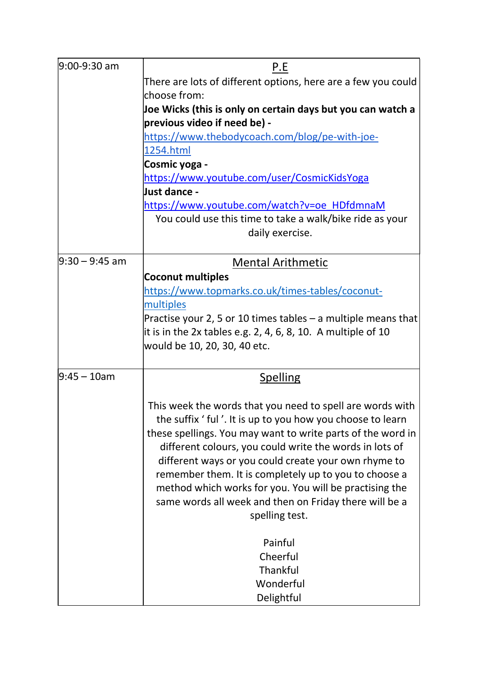| 9:00-9:30 am    | P.E                                                             |
|-----------------|-----------------------------------------------------------------|
|                 | There are lots of different options, here are a few you could   |
|                 | choose from:                                                    |
|                 | Joe Wicks (this is only on certain days but you can watch a     |
|                 | previous video if need be) -                                    |
|                 | https://www.thebodycoach.com/blog/pe-with-joe-                  |
|                 | 1254.html                                                       |
|                 | Cosmic yoga -                                                   |
|                 | https://www.youtube.com/user/CosmicKidsYoga                     |
|                 | Just dance -                                                    |
|                 | https://www.youtube.com/watch?v=oe HDfdmnaM                     |
|                 | You could use this time to take a walk/bike ride as your        |
|                 | daily exercise.                                                 |
|                 |                                                                 |
| l9:30 – 9:45 am | <b>Mental Arithmetic</b>                                        |
|                 | <b>Coconut multiples</b>                                        |
|                 | https://www.topmarks.co.uk/times-tables/coconut-                |
|                 | multiples                                                       |
|                 | Practise your 2, 5 or 10 times tables $-$ a multiple means that |
|                 | it is in the 2x tables e.g. 2, 4, 6, 8, 10. A multiple of 10    |
|                 | would be 10, 20, 30, 40 etc.                                    |
|                 |                                                                 |
| $9:45 - 10$ am  | <b>Spelling</b>                                                 |
|                 |                                                                 |
|                 | This week the words that you need to spell are words with       |
|                 | the suffix ' ful'. It is up to you how you choose to learn      |
|                 | these spellings. You may want to write parts of the word in     |
|                 | different colours, you could write the words in lots of         |
|                 | different ways or you could create your own rhyme to            |
|                 | remember them. It is completely up to you to choose a           |
|                 | method which works for you. You will be practising the          |
|                 |                                                                 |
|                 | same words all week and then on Friday there will be a          |
|                 | spelling test.                                                  |
|                 | Painful                                                         |
|                 | Cheerful                                                        |
|                 | Thankful                                                        |
|                 | Wonderful                                                       |
|                 |                                                                 |
|                 | Delightful                                                      |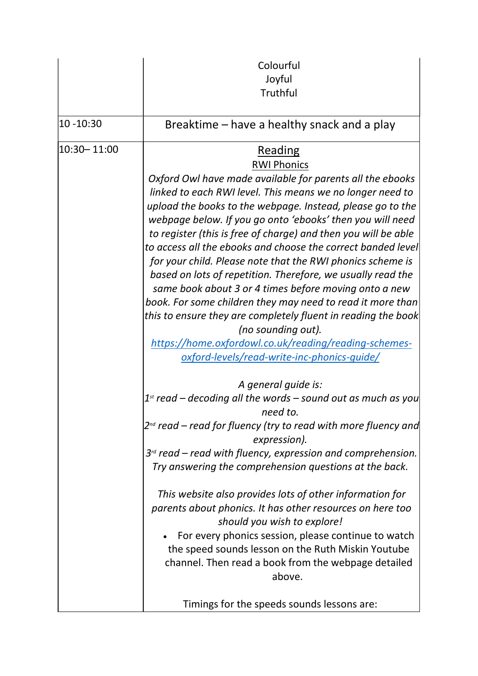|             | Colourful                                                                                  |
|-------------|--------------------------------------------------------------------------------------------|
|             | Joyful                                                                                     |
|             | Truthful                                                                                   |
| 10 - 10:30  | Breaktime – have a healthy snack and a play                                                |
| 10:30-11:00 | <b>Reading</b>                                                                             |
|             | <b>RWI Phonics</b>                                                                         |
|             | Oxford Owl have made available for parents all the ebooks                                  |
|             | linked to each RWI level. This means we no longer need to                                  |
|             | upload the books to the webpage. Instead, please go to the                                 |
|             | webpage below. If you go onto 'ebooks' then you will need                                  |
|             | to register (this is free of charge) and then you will be able                             |
|             | to access all the ebooks and choose the correct banded level                               |
|             | for your child. Please note that the RWI phonics scheme is                                 |
|             | based on lots of repetition. Therefore, we usually read the                                |
|             | same book about 3 or 4 times before moving onto a new                                      |
|             | book. For some children they may need to read it more than                                 |
|             | this to ensure they are completely fluent in reading the book                              |
|             | (no sounding out).                                                                         |
|             | https://home.oxfordowl.co.uk/reading/reading-schemes-                                      |
|             | oxford-levels/read-write-inc-phonics-guide/                                                |
|             | A general guide is:                                                                        |
|             | $1st$ read – decoding all the words – sound out as much as you<br>need to.                 |
|             | 2 <sup>nd</sup> read – read for fluency (try to read with more fluency and<br>expression). |
|             | $3rd$ read – read with fluency, expression and comprehension.                              |
|             | Try answering the comprehension questions at the back.                                     |
|             | This website also provides lots of other information for                                   |
|             | parents about phonics. It has other resources on here too                                  |
|             | should you wish to explore!                                                                |
|             | For every phonics session, please continue to watch                                        |
|             | the speed sounds lesson on the Ruth Miskin Youtube                                         |
|             | channel. Then read a book from the webpage detailed                                        |
|             | above.                                                                                     |
|             | Timings for the speeds sounds lessons are:                                                 |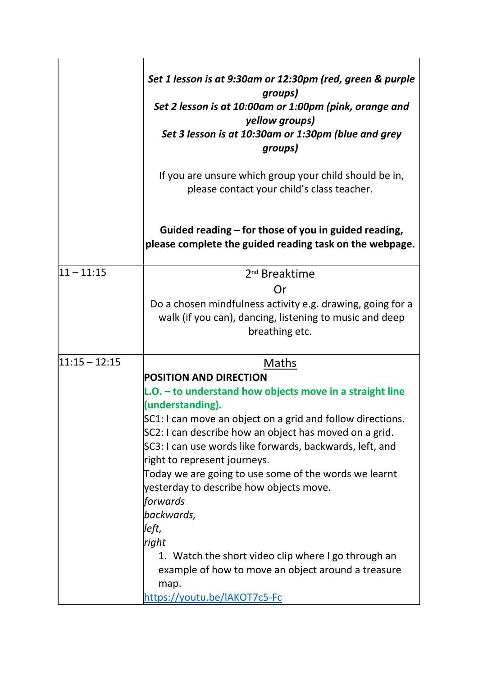|                  | Set 1 lesson is at 9:30am or 12:30pm (red, green & purple<br>groups)<br>Set 2 lesson is at 10:00am or 1:00pm (pink, orange and<br>yellow groups)<br>Set 3 lesson is at 10:30am or 1:30pm (blue and grey<br>groups) |
|------------------|--------------------------------------------------------------------------------------------------------------------------------------------------------------------------------------------------------------------|
|                  | If you are unsure which group your child should be in,<br>please contact your child's class teacher.                                                                                                               |
|                  | Guided reading – for those of you in guided reading,<br>please complete the guided reading task on the webpage.                                                                                                    |
| $ 11 - 11:15$    | 2 <sup>nd</sup> Breaktime                                                                                                                                                                                          |
|                  | Or                                                                                                                                                                                                                 |
|                  | Do a chosen mindfulness activity e.g. drawing, going for a<br>walk (if you can), dancing, listening to music and deep<br>breathing etc.                                                                            |
| $ 11:15 - 12:15$ | <b>Maths</b>                                                                                                                                                                                                       |
|                  | <b>POSITION AND DIRECTION</b>                                                                                                                                                                                      |
|                  | L.O. - to understand how objects move in a straight line<br>(understanding).                                                                                                                                       |
|                  | SC1: I can move an object on a grid and follow directions.                                                                                                                                                         |
|                  | SC2: I can describe how an object has moved on a grid.                                                                                                                                                             |
|                  | SC3: I can use words like forwards, backwards, left, and                                                                                                                                                           |
|                  | right to represent journeys.                                                                                                                                                                                       |
|                  | Today we are going to use some of the words we learnt                                                                                                                                                              |
|                  | yesterday to describe how objects move.                                                                                                                                                                            |
|                  | forwards                                                                                                                                                                                                           |
|                  | backwards,                                                                                                                                                                                                         |
|                  | left,                                                                                                                                                                                                              |
|                  | right                                                                                                                                                                                                              |
|                  | 1. Watch the short video clip where I go through an                                                                                                                                                                |
|                  | example of how to move an object around a treasure                                                                                                                                                                 |
|                  | map.                                                                                                                                                                                                               |
|                  | https://youtu.be/IAKOT7c5-Fc                                                                                                                                                                                       |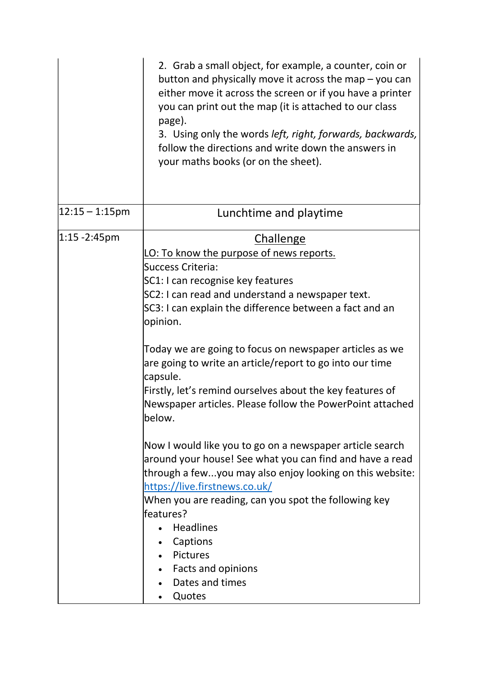|                    | 2. Grab a small object, for example, a counter, coin or<br>button and physically move it across the map - you can<br>either move it across the screen or if you have a printer<br>you can print out the map (it is attached to our class<br>page).<br>3. Using only the words left, right, forwards, backwards,<br>follow the directions and write down the answers in<br>your maths books (or on the sheet).                                                                                                            |
|--------------------|--------------------------------------------------------------------------------------------------------------------------------------------------------------------------------------------------------------------------------------------------------------------------------------------------------------------------------------------------------------------------------------------------------------------------------------------------------------------------------------------------------------------------|
| $ 12:15 - 1:15$ pm | Lunchtime and playtime                                                                                                                                                                                                                                                                                                                                                                                                                                                                                                   |
| $ 1:15 - 2:45$ pm  | <b>Challenge</b><br>LO: To know the purpose of news reports.<br>Success Criteria:<br>SC1: I can recognise key features<br>SC2: I can read and understand a newspaper text.<br>SC3: I can explain the difference between a fact and an<br>opinion.<br>Today we are going to focus on newspaper articles as we<br>are going to write an article/report to go into our time<br>capsule.<br>Firstly, let's remind ourselves about the key features of<br>Newspaper articles. Please follow the PowerPoint attached<br>below. |
|                    | Now I would like you to go on a newspaper article search<br>around your house! See what you can find and have a read<br>through a fewyou may also enjoy looking on this website:<br>https://live.firstnews.co.uk/<br>When you are reading, can you spot the following key<br>lfeatures?<br>Headlines<br>Captions<br>Pictures<br>• Facts and opinions<br>Dates and times<br>Quotes                                                                                                                                        |